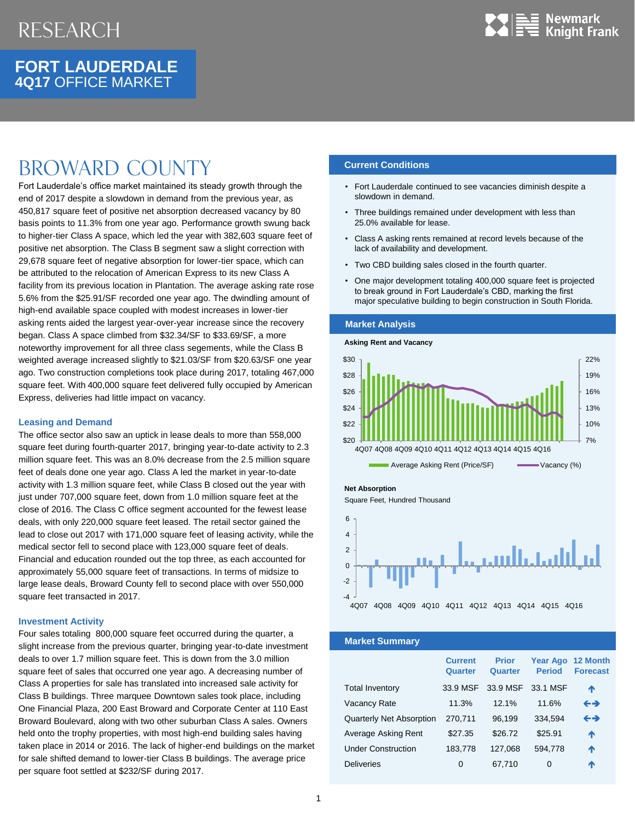

## **FORT LAUDERDALE 4Q17** OFFICE MARKET

# Broward county

Fort Lauderdale's office market maintained its steady growth through the end of 2017 despite a slowdown in demand from the previous year, as 450,817 square feet of positive net absorption decreased vacancy by 80 basis points to 11.3% from one year ago. Performance growth swung back to higher-tier Class A space, which led the year with 382,603 square feet of positive net absorption. The Class B segment saw a slight correction with 29,678 square feet of negative absorption for lower-tier space, which can be attributed to the relocation of American Express to its new Class A facility from its previous location in Plantation. The average asking rate rose 5.6% from the \$25.91/SF recorded one year ago. The dwindling amount of high-end available space coupled with modest increases in lower-tier asking rents aided the largest year-over-year increase since the recovery began. Class A space climbed from \$32.34/SF to \$33.69/SF, a more noteworthy improvement for all three class segements, while the Class B weighted average increased slightly to \$21.03/SF from \$20.63/SF one year ago. Two construction completions took place during 2017, totaling 467,000 square feet. With 400,000 square feet delivered fully occupied by American Express, deliveries had little impact on vacancy.

### **Leasing and Demand**

The office sector also saw an uptick in lease deals to more than 558,000 square feet during fourth-quarter 2017, bringing year-to-date activity to 2.3 million square feet. This was an 8.0% decrease from the 2.5 million square feet of deals done one year ago. Class A led the market in year-to-date activity with 1.3 million square feet, while Class B closed out the year with just under 707,000 square feet, down from 1.0 million square feet at the close of 2016. The Class C office segment accounted for the fewest lease deals, with only 220,000 square feet leased. The retail sector gained the lead to close out 2017 with 171,000 square feet of leasing activity, while the medical sector fell to second place with 123,000 square feet of deals. Financial and education rounded out the top three, as each accounted for approximately 55,000 square feet of transactions. In terms of midsize to large lease deals, Broward County fell to second place with over 550,000 square feet transacted in 2017.

### **Investment Activity**

Four sales totaling 800,000 square feet occurred during the quarter, a slight increase from the previous quarter, bringing year-to-date investment deals to over 1.7 million square feet. This is down from the 3.0 million square feet of sales that occurred one year ago. A decreasing number of Class A properties for sale has translated into increased sale activity for Class B buildings. Three marquee Downtown sales took place, including One Financial Plaza, 200 East Broward and Corporate Center at 110 East Broward Boulevard, along with two other suburban Class A sales. Owners held onto the trophy properties, with most high-end building sales having taken place in 2014 or 2016. The lack of higher-end buildings on the market for sale shifted demand to lower-tier Class B buildings. The average price per square foot settled at \$232/SF during 2017.

## **Current Conditions**

- Fort Lauderdale continued to see vacancies diminish despite a slowdown in demand.
- Three buildings remained under development with less than 25.0% available for lease.
- Class A asking rents remained at record levels because of the lack of availability and development.
- Two CBD building sales closed in the fourth quarter.
- One major development totaling 400,000 square feet is projected to break ground in Fort Lauderdale's CBD, marking the first major speculative building to begin construction in South Florida.

#### **Market Analysis**

**Asking Rent and Vacancy**



Average Asking Rent (Price/SF) Vacancy (%)



Square Feet, Hundred Thousand



**Market Summary**

|                                 | <b>Current</b><br>Quarter | <b>Prior</b><br>Quarter | <b>Period</b> | Year Ago 12 Month<br><b>Forecast</b> |
|---------------------------------|---------------------------|-------------------------|---------------|--------------------------------------|
| <b>Total Inventory</b>          | 33.9 MSF                  | 33.9 MSF                | 33.1 MSF      | ᠰ                                    |
| Vacancy Rate                    | 11.3%                     | 12.1%                   | 11.6%         | $\leftrightarrow$                    |
| <b>Quarterly Net Absorption</b> | 270,711                   | 96,199                  | 334,594       | $\leftrightarrow$                    |
| Average Asking Rent             | \$27.35                   | \$26.72                 | \$25.91       | ↑                                    |
| <b>Under Construction</b>       | 183,778                   | 127,068                 | 594,778       | ᠰ                                    |
| <b>Deliveries</b>               | 0                         | 67,710                  | 0             | Λ                                    |